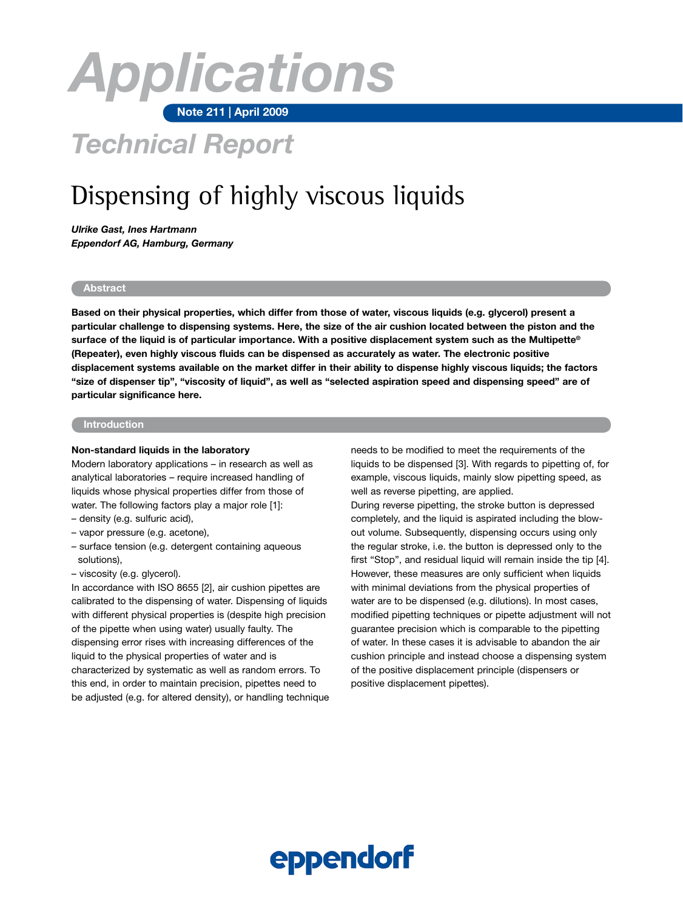# **Note 211 | April 2009** *Applications*

# *Technical Report*

## Dispensing of highly viscous liquids

*Ulrike Gast, Ines Hartmann Eppendorf AG, Hamburg, Germany* 

#### **Abstract**

**Based on their physical properties, which differ from those of water, viscous liquids (e.g. glycerol) present a particular challenge to dispensing systems. Here, the size of the air cushion located between the piston and the surface of the liquid is of particular importance. With a positive displacement system such as the Multipette® (Repeater), even highly viscous fluids can be dispensed as accurately as water. The electronic positive displacement systems available on the market differ in their ability to dispense highly viscous liquids; the factors "size of dispenser tip", "viscosity of liquid", as well as "selected aspiration speed and dispensing speed" are of particular significance here.** 

#### **Introduction**

#### **Non-standard liquids in the laboratory**

Modern laboratory applications – in research as well as analytical laboratories – require increased handling of liquids whose physical properties differ from those of water. The following factors play a major role [1]:

- density (e.g. sulfuric acid),
- vapor pressure (e.g. acetone),
- surface tension (e.g. detergent containing aqueous solutions),
- viscosity (e.g. glycerol).

In accordance with ISO 8655 [2], air cushion pipettes are calibrated to the dispensing of water. Dispensing of liquids with different physical properties is (despite high precision of the pipette when using water) usually faulty. The dispensing error rises with increasing differences of the liquid to the physical properties of water and is characterized by systematic as well as random errors. To this end, in order to maintain precision, pipettes need to be adjusted (e.g. for altered density), or handling technique needs to be modified to meet the requirements of the liquids to be dispensed [3]. With regards to pipetting of, for example, viscous liquids, mainly slow pipetting speed, as well as reverse pipetting, are applied.

During reverse pipetting, the stroke button is depressed completely, and the liquid is aspirated including the blowout volume. Subsequently, dispensing occurs using only the regular stroke, i.e. the button is depressed only to the first "Stop", and residual liquid will remain inside the tip [4]. However, these measures are only sufficient when liquids with minimal deviations from the physical properties of water are to be dispensed (e.g. dilutions). In most cases, modified pipetting techniques or pipette adjustment will not guarantee precision which is comparable to the pipetting of water. In these cases it is advisable to abandon the air cushion principle and instead choose a dispensing system of the positive displacement principle (dispensers or positive displacement pipettes).

# eppendorf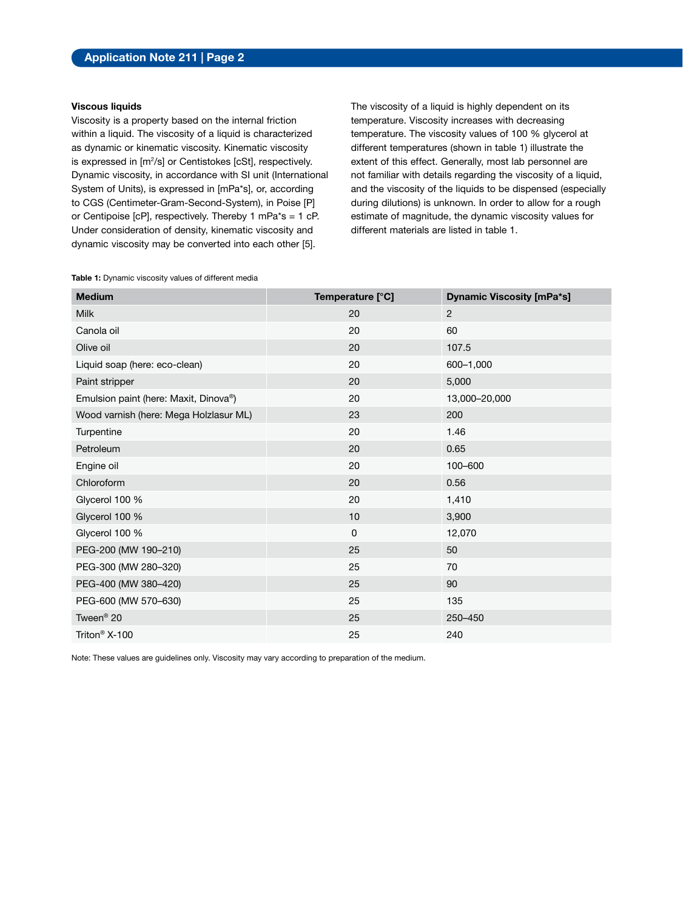#### **Viscous liquids**

Viscosity is a property based on the internal friction within a liquid. The viscosity of a liquid is characterized as dynamic or kinematic viscosity. Kinematic viscosity is expressed in [m<sup>2</sup>/s] or Centistokes [cSt], respectively. Dynamic viscosity, in accordance with SI unit (International System of Units), is expressed in [mPa\*s], or, according to CGS (Centimeter-Gram-Second-System), in Poise [P] or Centipoise [cP], respectively. Thereby 1 mPa\*s = 1 cP. Under consideration of density, kinematic viscosity and dynamic viscosity may be converted into each other [5].

The viscosity of a liquid is highly dependent on its temperature. Viscosity increases with decreasing temperature. The viscosity values of 100 % glycerol at different temperatures (shown in table 1) illustrate the extent of this effect. Generally, most lab personnel are not familiar with details regarding the viscosity of a liquid, and the viscosity of the liquids to be dispensed (especially during dilutions) is unknown. In order to allow for a rough estimate of magnitude, the dynamic viscosity values for different materials are listed in table 1.

|  |  | Table 1: Dynamic viscosity values of different media |  |  |  |  |
|--|--|------------------------------------------------------|--|--|--|--|
|--|--|------------------------------------------------------|--|--|--|--|

| Temperature [°C] | <b>Dynamic Viscosity [mPa*s]</b> |
|------------------|----------------------------------|
| 20               | 2                                |
| 20               | 60                               |
| 20               | 107.5                            |
| 20               | 600-1,000                        |
| 20               | 5,000                            |
| 20               | 13,000-20,000                    |
| 23               | 200                              |
| 20               | 1.46                             |
| 20               | 0.65                             |
| 20               | 100-600                          |
| 20               | 0.56                             |
| 20               | 1,410                            |
| 10               | 3,900                            |
| $\mathbf 0$      | 12,070                           |
| 25               | 50                               |
| 25               | 70                               |
| 25               | 90                               |
| 25               | 135                              |
| 25               | 250-450                          |
| 25               | 240                              |
|                  |                                  |

Note: These values are guidelines only. Viscosity may vary according to preparation of the medium.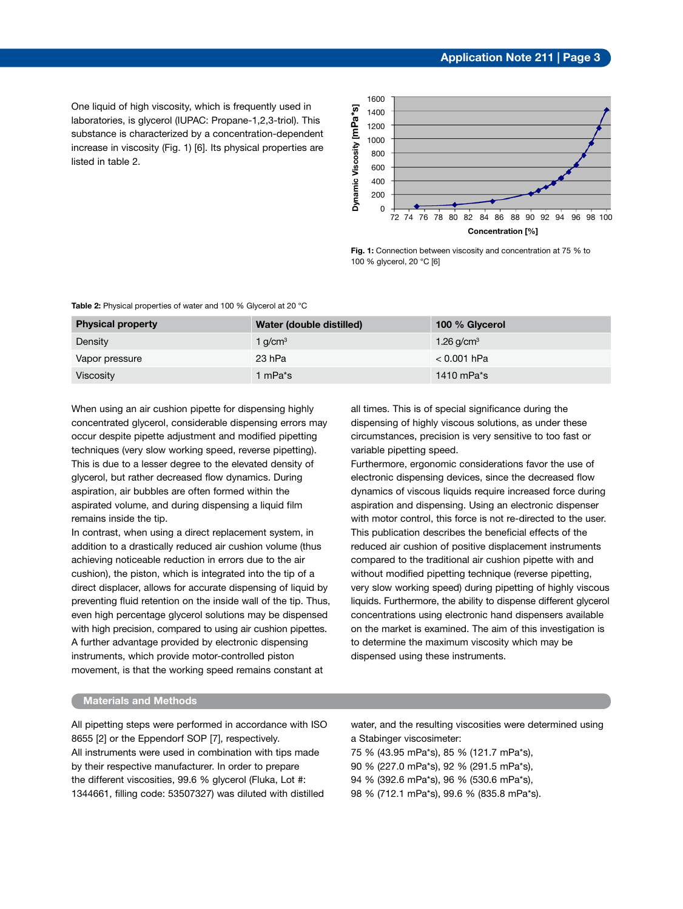One liquid of high viscosity, which is frequently used in laboratories, is glycerol (IUPAC: Propane-1,2,3-triol). This substance is characterized by a concentration-dependent increase in viscosity (Fig. 1) [6]. Its physical properties are listed in table 2.



**Fig. 1:** Connection between viscosity and concentration at 75 % to 100 % glycerol, 20 °C [6]

| <b>Physical property</b> | Water (double distilled) | 100 % Glycerol |
|--------------------------|--------------------------|----------------|
| Density                  | 1 $q/cm3$                | 1.26 $q/cm3$   |
| Vapor pressure           | 23 hPa                   | $< 0.001$ hPa  |
| <b>Viscosity</b>         | 1 mPa*s                  | 1410 m $Pa*$ s |

**Table 2:** Physical properties of water and 100 % Glycerol at 20 °C

When using an air cushion pipette for dispensing highly concentrated glycerol, considerable dispensing errors may occur despite pipette adjustment and modified pipetting techniques (very slow working speed, reverse pipetting). This is due to a lesser degree to the elevated density of glycerol, but rather decreased flow dynamics. During aspiration, air bubbles are often formed within the aspirated volume, and during dispensing a liquid film remains inside the tip.

In contrast, when using a direct replacement system, in addition to a drastically reduced air cushion volume (thus achieving noticeable reduction in errors due to the air cushion), the piston, which is integrated into the tip of a direct displacer, allows for accurate dispensing of liquid by preventing fluid retention on the inside wall of the tip. Thus, even high percentage glycerol solutions may be dispensed with high precision, compared to using air cushion pipettes. A further advantage provided by electronic dispensing instruments, which provide motor-controlled piston movement, is that the working speed remains constant at

all times. This is of special significance during the dispensing of highly viscous solutions, as under these circumstances, precision is very sensitive to too fast or variable pipetting speed.

Furthermore, ergonomic considerations favor the use of electronic dispensing devices, since the decreased flow dynamics of viscous liquids require increased force during aspiration and dispensing. Using an electronic dispenser with motor control, this force is not re-directed to the user. This publication describes the beneficial effects of the reduced air cushion of positive displacement instruments compared to the traditional air cushion pipette with and without modified pipetting technique (reverse pipetting, very slow working speed) during pipetting of highly viscous liquids. Furthermore, the ability to dispense different glycerol concentrations using electronic hand dispensers available on the market is examined. The aim of this investigation is to determine the maximum viscosity which may be dispensed using these instruments.

#### **Materials and Methods**

All pipetting steps were performed in accordance with ISO 8655 [2] or the Eppendorf SOP [7], respectively. All instruments were used in combination with tips made by their respective manufacturer. In order to prepare the different viscosities, 99.6 % glycerol (Fluka, Lot #: 1344661, filling code: 53507327) was diluted with distilled

water, and the resulting viscosities were determined using a Stabinger viscosimeter:

75 % (43.95 mPa\*s), 85 % (121.7 mPa\*s),

90 % (227.0 mPa\*s), 92 % (291.5 mPa\*s),

94 % (392.6 mPa\*s), 96 % (530.6 mPa\*s),

98 % (712.1 mPa\*s), 99.6 % (835.8 mPa\*s).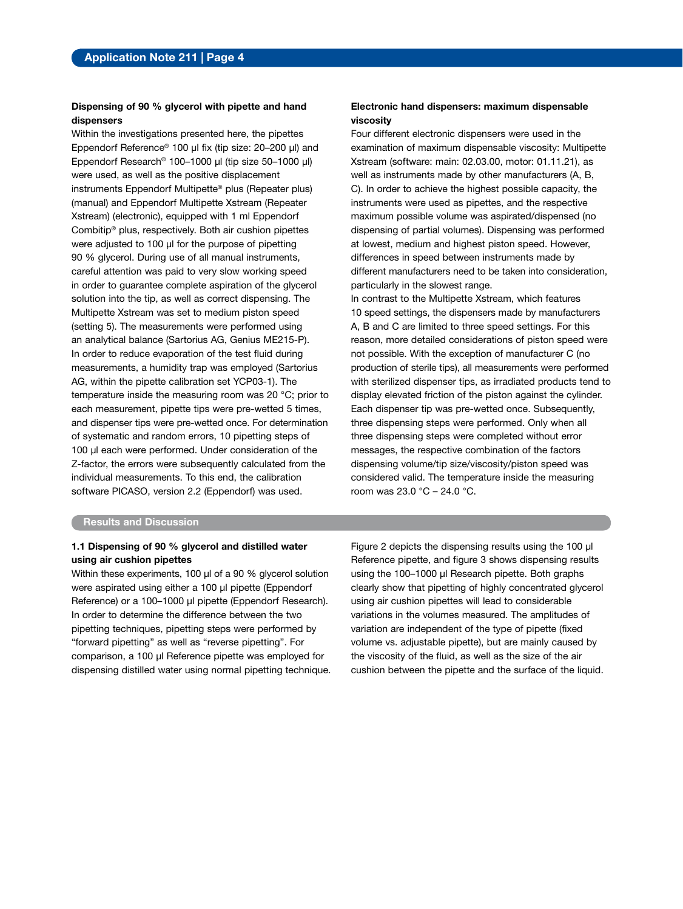#### **Dispensing of 90 % glycerol with pipette and hand dispensers**

Within the investigations presented here, the pipettes Eppendorf Reference® 100 µl fix (tip size: 20–200 µl) and Eppendorf Research® 100–1000 µl (tip size 50–1000 µl) were used, as well as the positive displacement instruments Eppendorf Multipette® plus (Repeater plus) (manual) and Eppendorf Multipette Xstream (Repeater Xstream) (electronic), equipped with 1 ml Eppendorf Combitip® plus, respectively. Both air cushion pipettes were adjusted to 100 µl for the purpose of pipetting 90 % glycerol. During use of all manual instruments, careful attention was paid to very slow working speed in order to guarantee complete aspiration of the glycerol solution into the tip, as well as correct dispensing. The Multipette Xstream was set to medium piston speed (setting 5). The measurements were performed using an analytical balance (Sartorius AG, Genius ME215-P). In order to reduce evaporation of the test fluid during measurements, a humidity trap was employed (Sartorius AG, within the pipette calibration set YCP03-1). The temperature inside the measuring room was 20 °C; prior to each measurement, pipette tips were pre-wetted 5 times, and dispenser tips were pre-wetted once. For determination of systematic and random errors, 10 pipetting steps of 100 µl each were performed. Under consideration of the Z-factor, the errors were subsequently calculated from the individual measurements. To this end, the calibration software PICASO, version 2.2 (Eppendorf) was used.

#### **Electronic hand dispensers: maximum dispensable viscosity**

Four different electronic dispensers were used in the examination of maximum dispensable viscosity: Multipette Xstream (software: main: 02.03.00, motor: 01.11.21), as well as instruments made by other manufacturers (A, B, C). In order to achieve the highest possible capacity, the instruments were used as pipettes, and the respective maximum possible volume was aspirated/dispensed (no dispensing of partial volumes). Dispensing was performed at lowest, medium and highest piston speed. However, differences in speed between instruments made by different manufacturers need to be taken into consideration, particularly in the slowest range.

In contrast to the Multipette Xstream, which features 10 speed settings, the dispensers made by manufacturers A, B and C are limited to three speed settings. For this reason, more detailed considerations of piston speed were not possible. With the exception of manufacturer C (no production of sterile tips), all measurements were performed with sterilized dispenser tips, as irradiated products tend to display elevated friction of the piston against the cylinder. Each dispenser tip was pre-wetted once. Subsequently, three dispensing steps were performed. Only when all three dispensing steps were completed without error messages, the respective combination of the factors dispensing volume/tip size/viscosity/piston speed was considered valid. The temperature inside the measuring room was 23.0 °C – 24.0 °C.

#### **Results and Discussion**

#### **1.1 Dispensing of 90 % glycerol and distilled water using air cushion pipettes**

Within these experiments, 100 µl of a 90 % glycerol solution were aspirated using either a 100 µl pipette (Eppendorf Reference) or a 100-1000 µl pipette (Eppendorf Research). In order to determine the difference between the two pipetting techniques, pipetting steps were performed by "forward pipetting" as well as "reverse pipetting". For comparison, a 100 µl Reference pipette was employed for dispensing distilled water using normal pipetting technique. Figure 2 depicts the dispensing results using the 100 µl Reference pipette, and figure 3 shows dispensing results using the 100-1000 µl Research pipette. Both graphs clearly show that pipetting of highly concentrated glycerol using air cushion pipettes will lead to considerable variations in the volumes measured. The amplitudes of variation are independent of the type of pipette (fixed volume vs. adjustable pipette), but are mainly caused by the viscosity of the fluid, as well as the size of the air cushion between the pipette and the surface of the liquid.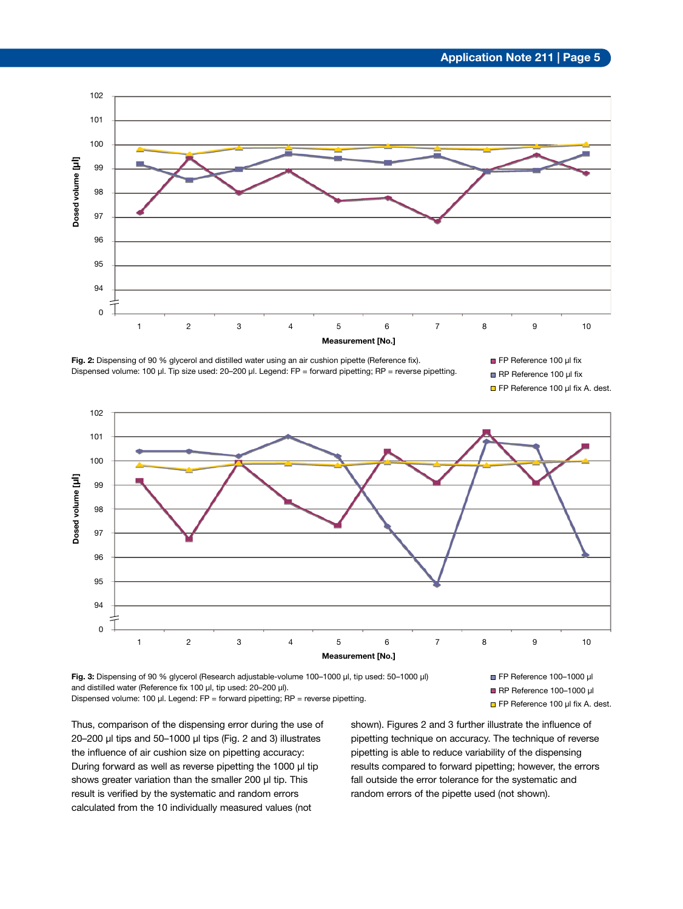

**Fig. 2:** Dispensing of 90 % glycerol and distilled water using an air cushion pipette (Reference fix). Dispensed volume: 100 µl. Tip size used: 20–200 µl. Legend: FP = forward pipetting; RP = reverse pipetting.







**Fig. 3:** Dispensing of 90 % glycerol (Research adjustable-volume 100–1000 µl, tip used: 50–1000 µl) and distilled water (Reference fix 100 µl, tip used: 20-200 µl). Dispensed volume: 100 µl. Legend: FP = forward pipetting; RP = reverse pipetting.

FP Reference 100–1000 µl RP Reference 100–1000 µl

□ FP Reference 100 µl fix A. dest.

Thus, comparison of the dispensing error during the use of 20–200 µl tips and 50–1000 µl tips (Fig. 2 and 3) illustrates the influence of air cushion size on pipetting accuracy: During forward as well as reverse pipetting the 1000 µl tip shows greater variation than the smaller 200 µl tip. This result is verified by the systematic and random errors calculated from the 10 individually measured values (not

shown). Figures 2 and 3 further illustrate the influence of pipetting technique on accuracy. The technique of reverse pipetting is able to reduce variability of the dispensing results compared to forward pipetting; however, the errors fall outside the error tolerance for the systematic and random errors of the pipette used (not shown).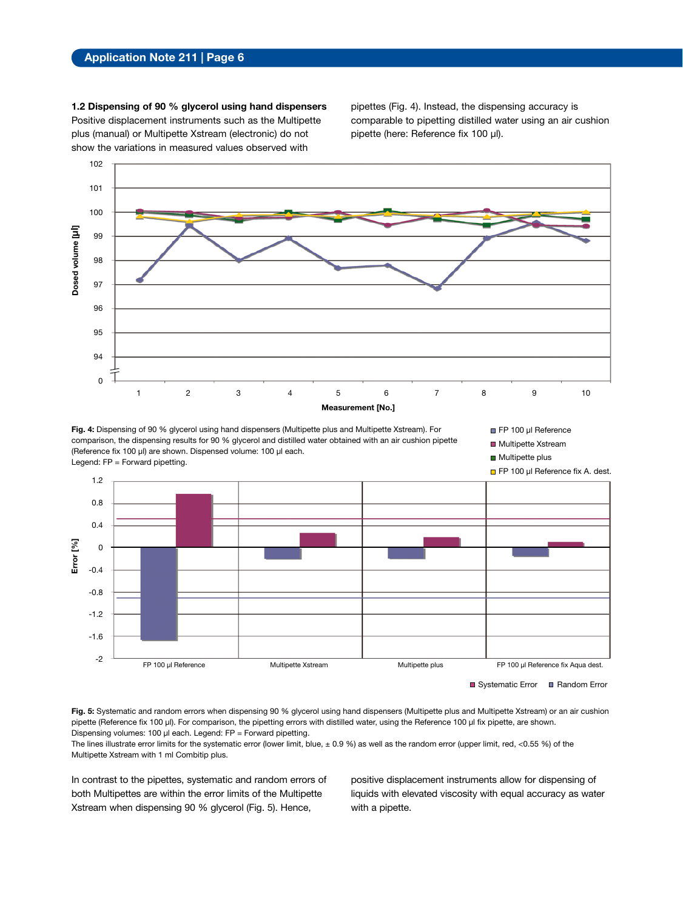**1.2 Dispensing of 90 % glycerol using hand dispensers**  Positive displacement instruments such as the Multipette plus (manual) or Multipette Xstream (electronic) do not show the variations in measured values observed with

pipettes (Fig. 4). Instead, the dispensing accuracy is comparable to pipetting distilled water using an air cushion pipette (here: Reference fix 100 µl).



**Fig. 4:** Dispensing of 90 % glycerol using hand dispensers (Multipette plus and Multipette Xstream). For comparison, the dispensing results for 90 % glycerol and distilled water obtained with an air cushion pipette (Reference fix 100 µl) are shown. Dispensed volume: 100 µl each. Legend: FP = Forward pipetting.



**Multipette plus** 



Systematic Error **E** Random Error

Fig. 5: Systematic and random errors when dispensing 90 % glycerol using hand dispensers (Multipette plus and Multipette Xstream) or an air cushion pipette (Reference fix 100 µl). For comparison, the pipetting errors with distilled water, using the Reference 100 µl fix pipette, are shown. Dispensing volumes: 100 µl each. Legend: FP = Forward pipetting.

The lines illustrate error limits for the systematic error (lower limit, blue,  $\pm$  0.9 %) as well as the random error (upper limit, red, <0.55 %) of the Multipette Xstream with 1 ml Combitip plus.

In contrast to the pipettes, systematic and random errors of both Multipettes are within the error limits of the Multipette Xstream when dispensing 90 % glycerol (Fig. 5). Hence,

positive displacement instruments allow for dispensing of liquids with elevated viscosity with equal accuracy as water with a pipette.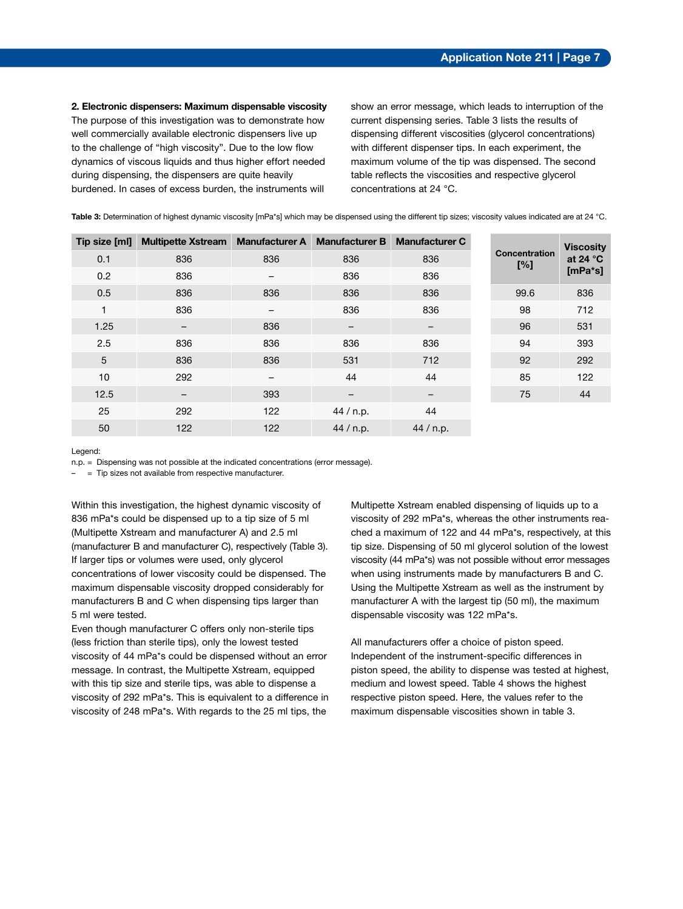**2. Electronic dispensers: Maximum dispensable viscosity**  The purpose of this investigation was to demonstrate how well commercially available electronic dispensers live up to the challenge of "high viscosity". Due to the low flow dynamics of viscous liquids and thus higher effort needed during dispensing, the dispensers are quite heavily burdened. In cases of excess burden, the instruments will

show an error message, which leads to interruption of the current dispensing series. Table 3 lists the results of dispensing different viscosities (glycerol concentrations) with different dispenser tips. In each experiment, the maximum volume of the tip was dispensed. The second table reflects the viscosities and respective glycerol concentrations at 24 °C.

| Table 3: Determination of highest dynamic viscosity [mPa*s] which may be dispensed using the different tip sizes; viscosity values indicated are at 24 °C. |  |  |  |  |
|------------------------------------------------------------------------------------------------------------------------------------------------------------|--|--|--|--|
|------------------------------------------------------------------------------------------------------------------------------------------------------------|--|--|--|--|

| Tip size [ml] | <b>Multipette Xstream</b> | <b>Manufacturer A</b> | <b>Manufacturer B</b> | <b>Manufacturer C</b> |                             | <b>Viscosity</b>               |
|---------------|---------------------------|-----------------------|-----------------------|-----------------------|-----------------------------|--------------------------------|
| 0.1           | 836                       | 836                   | 836                   | 836                   | <b>Concentration</b><br>[%] | at 24 $\degree$ C<br>$[mPa*s]$ |
| 0.2           | 836                       |                       | 836                   | 836                   |                             |                                |
| 0.5           | 836                       | 836                   | 836                   | 836                   | 99.6                        | 836                            |
| 1             | 836                       |                       | 836                   | 836                   | 98                          | 712                            |
| 1.25          | -                         | 836                   | —                     | —                     | 96                          | 531                            |
| 2.5           | 836                       | 836                   | 836                   | 836                   | 94                          | 393                            |
| 5             | 836                       | 836                   | 531                   | 712                   | 92                          | 292                            |
| 10            | 292                       |                       | 44                    | 44                    | 85                          | 122                            |
| 12.5          | $\qquad \qquad -$         | 393                   | —                     | -                     | 75                          | 44                             |
| 25            | 292                       | 122                   | 44 / n.p.             | 44                    |                             |                                |
| 50            | 122                       | 122                   | 44 / n.p.             | 44 / n.p.             |                             |                                |

Legend:

n.p. = Dispensing was not possible at the indicated concentrations (error message).

– = Tip sizes not available from respective manufacturer.

Within this investigation, the highest dynamic viscosity of 836 mPa\*s could be dispensed up to a tip size of 5 ml (Multipette Xstream and manufacturer A) and 2.5 ml (manufacturer B and manufacturer C), respectively (Table 3). If larger tips or volumes were used, only glycerol concentrations of lower viscosity could be dispensed. The maximum dispensable viscosity dropped considerably for manufacturers B and C when dispensing tips larger than 5 ml were tested.

Even though manufacturer C offers only non-sterile tips (less friction than sterile tips), only the lowest tested viscosity of 44 mPa\*s could be dispensed without an error message. In contrast, the Multipette Xstream, equipped with this tip size and sterile tips, was able to dispense a viscosity of 292 mPa\*s. This is equivalent to a difference in viscosity of 248 mPa\*s. With regards to the 25 ml tips, the

Multipette Xstream enabled dispensing of liquids up to a viscosity of 292 mPa\*s, whereas the other instruments reached a maximum of 122 and 44 mPa\*s, respectively, at this tip size. Dispensing of 50 ml glycerol solution of the lowest viscosity (44 mPa\*s) was not possible without error messages when using instruments made by manufacturers B and C. Using the Multipette Xstream as well as the instrument by manufacturer A with the largest tip (50 ml), the maximum dispensable viscosity was 122 mPa\*s.

All manufacturers offer a choice of piston speed. Independent of the instrument-specific differences in piston speed, the ability to dispense was tested at highest, medium and lowest speed. Table 4 shows the highest respective piston speed. Here, the values refer to the maximum dispensable viscosities shown in table 3.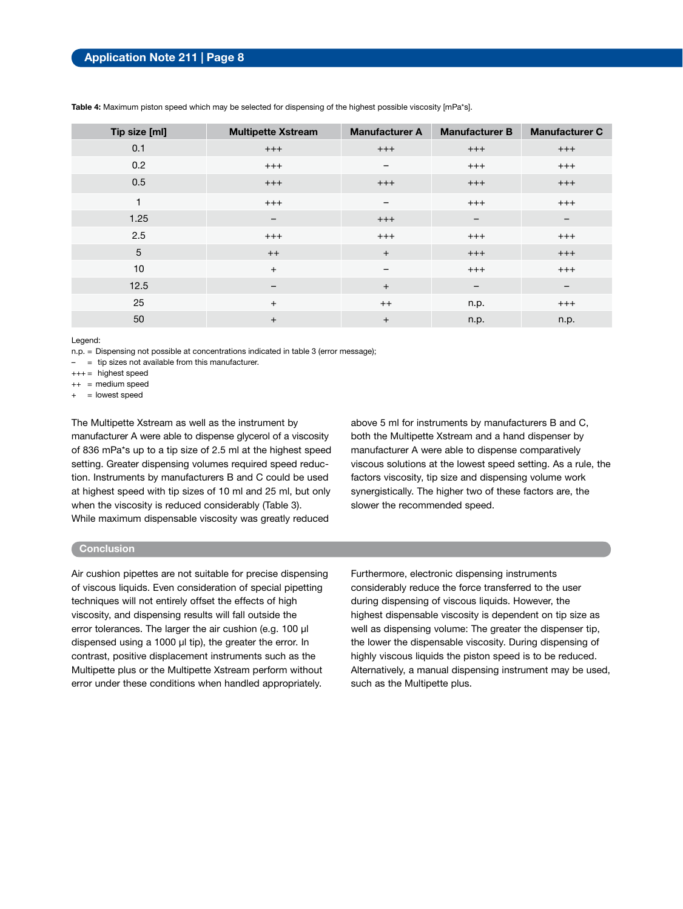| Tip size [ml] | <b>Multipette Xstream</b> | <b>Manufacturer A</b>    | <b>Manufacturer B</b> | <b>Manufacturer C</b>    |
|---------------|---------------------------|--------------------------|-----------------------|--------------------------|
| 0.1           | $^{+++}$                  | $+++$                    | $+++$                 | $^{+++}$                 |
| 0.2           | $^{+++}$                  | $\qquad \qquad$          | $^{+++}$              | $^{+++}$                 |
| 0.5           | $^{+++}$                  | $+++$                    | $+++$                 | $^{+++}$                 |
| 1             | $^{+++}$                  | $\qquad \qquad -$        | $^{+++}$              | $^{+++}$                 |
| 1.25          | -                         | $+++$                    | -                     | $\overline{\phantom{m}}$ |
| 2.5           | $^{+++}$                  | $^{+++}$                 | $^{+++}$              | $^{+++}$                 |
| 5             | $^{++}$                   | $+$                      | $^{+++}$              | $^{+++}$                 |
| 10            | $+$                       | $\overline{\phantom{m}}$ | $+++$                 | $+++$                    |
| 12.5          | -                         | $+$                      | -                     | $\overline{\phantom{m}}$ |
| 25            | $+$                       | $^{++}$                  | n.p.                  | $^{+++}$                 |
| 50            | $+$                       | $\ddot{}$                | n.p.                  | n.p.                     |

**Table 4:** Maximum piston speed which may be selected for dispensing of the highest possible viscosity [mPa\*s].

Legend:

n.p. = Dispensing not possible at concentrations indicated in table 3 (error message);

– = tip sizes not available from this manufacturer.

 $+++$  = highest speed

++ = medium speed

 $+$  = lowest speed

The Multipette Xstream as well as the instrument by manufacturer A were able to dispense glycerol of a viscosity of 836 mPa\*s up to a tip size of 2.5 ml at the highest speed setting. Greater dispensing volumes required speed reduction. Instruments by manufacturers B and C could be used at highest speed with tip sizes of 10 ml and 25 ml, but only when the viscosity is reduced considerably (Table 3). While maximum dispensable viscosity was greatly reduced

above 5 ml for instruments by manufacturers B and C, both the Multipette Xstream and a hand dispenser by manufacturer A were able to dispense comparatively viscous solutions at the lowest speed setting. As a rule, the factors viscosity, tip size and dispensing volume work synergistically. The higher two of these factors are, the slower the recommended speed.

#### **Conclusion**

Air cushion pipettes are not suitable for precise dispensing of viscous liquids. Even consideration of special pipetting techniques will not entirely offset the effects of high viscosity, and dispensing results will fall outside the error tolerances. The larger the air cushion (e.g. 100 µl dispensed using a 1000 µl tip), the greater the error. In contrast, positive displacement instruments such as the Multipette plus or the Multipette Xstream perform without error under these conditions when handled appropriately.

Furthermore, electronic dispensing instruments considerably reduce the force transferred to the user during dispensing of viscous liquids. However, the highest dispensable viscosity is dependent on tip size as well as dispensing volume: The greater the dispenser tip, the lower the dispensable viscosity. During dispensing of highly viscous liquids the piston speed is to be reduced. Alternatively, a manual dispensing instrument may be used, such as the Multipette plus.